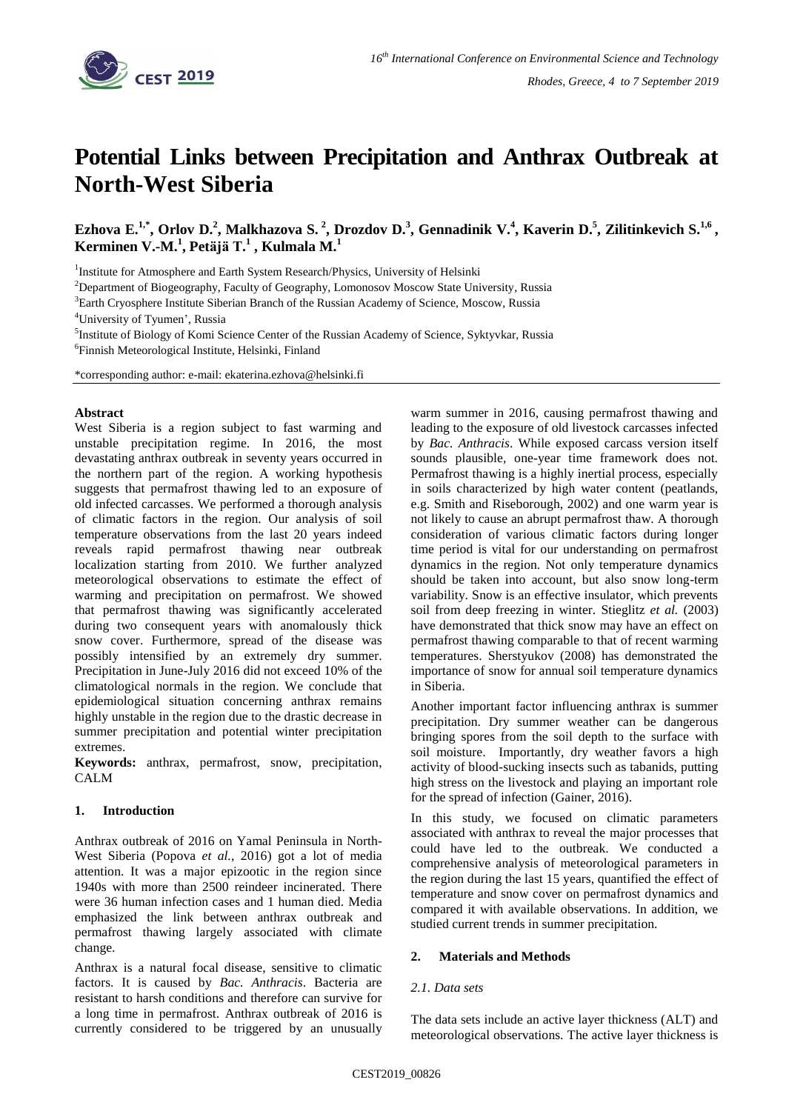

# **Potential Links between Precipitation and Anthrax Outbreak at North-West Siberia**

Ezhova E.<sup>1,\*</sup>, Orlov D.<sup>2</sup>, Malkhazova S.<sup>2</sup>, Drozdov D.<sup>3</sup>, Gennadinik V.<sup>4</sup>, Kaverin D.<sup>5</sup>, Zilitinkevich S.<sup>1,6</sup>, **Kerminen V.-M.<sup>1</sup> , Petäjä T.<sup>1</sup> , Kulmala M. 1**

<sup>1</sup>Institute for Atmosphere and Earth System Research/Physics, University of Helsinki

<sup>2</sup>Department of Biogeography, Faculty of Geography, Lomonosov Moscow State University, Russia

<sup>3</sup>Earth Cryosphere Institute Siberian Branch of the Russian Academy of Science, Moscow, Russia

<sup>4</sup>University of Tyumen', Russia

<sup>5</sup>Institute of Biology of Komi Science Center of the Russian Academy of Science, Syktyvkar, Russia 6 Finnish Meteorological Institute, Helsinki, Finland

\*corresponding author: e-mail: ekaterina.ezhova@helsinki.fi

#### **Abstract**

West Siberia is a region subject to fast warming and unstable precipitation regime. In 2016, the most devastating anthrax outbreak in seventy years occurred in the northern part of the region. A working hypothesis suggests that permafrost thawing led to an exposure of old infected carcasses. We performed a thorough analysis of climatic factors in the region. Our analysis of soil temperature observations from the last 20 years indeed reveals rapid permafrost thawing near outbreak localization starting from 2010. We further analyzed meteorological observations to estimate the effect of warming and precipitation on permafrost. We showed that permafrost thawing was significantly accelerated during two consequent years with anomalously thick snow cover. Furthermore, spread of the disease was possibly intensified by an extremely dry summer. Precipitation in June-July 2016 did not exceed 10% of the climatological normals in the region. We conclude that epidemiological situation concerning anthrax remains highly unstable in the region due to the drastic decrease in summer precipitation and potential winter precipitation extremes.

**Keywords:** anthrax, permafrost, snow, precipitation, CALM

## **1. Introduction**

Anthrax outbreak of 2016 on Yamal Peninsula in North-West Siberia (Popova *et al.*, 2016) got a lot of media attention. It was a major epizootic in the region since 1940s with more than 2500 reindeer incinerated. There were 36 human infection cases and 1 human died. Media emphasized the link between anthrax outbreak and permafrost thawing largely associated with climate change.

Anthrax is a natural focal disease, sensitive to climatic factors. It is caused by *Bac. Anthracis*. Bacteria are resistant to harsh conditions and therefore can survive for a long time in permafrost. Anthrax outbreak of 2016 is currently considered to be triggered by an unusually warm summer in 2016, causing permafrost thawing and leading to the exposure of old livestock carcasses infected by *Bac. Anthracis*. While exposed carcass version itself sounds plausible, one-year time framework does not. Permafrost thawing is a highly inertial process, especially in soils characterized by high water content (peatlands, e.g. Smith and Riseborough, 2002) and one warm year is not likely to cause an abrupt permafrost thaw. A thorough consideration of various climatic factors during longer time period is vital for our understanding on permafrost dynamics in the region. Not only temperature dynamics should be taken into account, but also snow long-term variability. Snow is an effective insulator, which prevents soil from deep freezing in winter. Stieglitz *et al.* (2003) have demonstrated that thick snow may have an effect on permafrost thawing comparable to that of recent warming temperatures. Sherstyukov (2008) has demonstrated the importance of snow for annual soil temperature dynamics in Siberia.

Another important factor influencing anthrax is summer precipitation. Dry summer weather can be dangerous bringing spores from the soil depth to the surface with soil moisture. Importantly, dry weather favors a high activity of blood-sucking insects such as tabanids, putting high stress on the livestock and playing an important role for the spread of infection (Gainer, 2016).

In this study, we focused on climatic parameters associated with anthrax to reveal the major processes that could have led to the outbreak. We conducted a comprehensive analysis of meteorological parameters in the region during the last 15 years, quantified the effect of temperature and snow cover on permafrost dynamics and compared it with available observations. In addition, we studied current trends in summer precipitation.

## **2. Materials and Methods**

#### *2.1. Data sets*

The data sets include an active layer thickness (ALT) and meteorological observations. The active layer thickness is